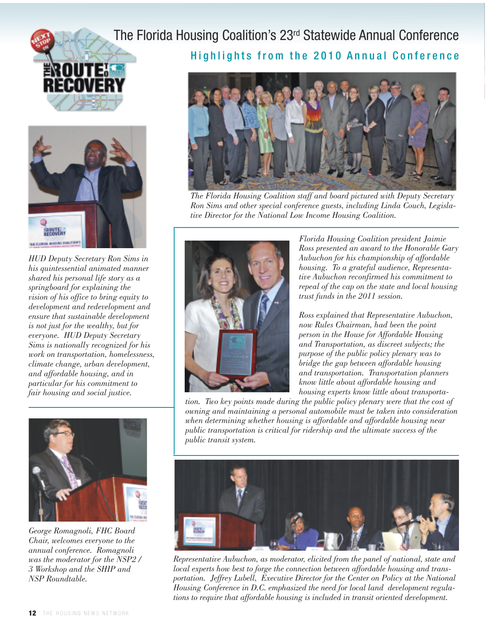



*HUD Deputy Secretary Ron Sims in his quintessential animated manner shared his personal life story as a springboard for explaining the vision of his office to bring equity to development and redevelopment and ensure that sustainable development is not just for the wealthy, but for everyone. HUD Deputy Secretary Sims is nationally recognized for his work on transportation, homelessness, climate change, urban development, and affordable housing, and in particular for his commitment to fair housing and social justice.*



*George Romagnoli, FHC Board Chair, welcomes everyone to the annual conference. Romagnoli was the moderator for the NSP2 / 3 Workshop and the SHIP and NSP Roundtable.*

## The Florida Housing Coalition's 23rd Statewide Annual Conference

Highlights from the 2010 Annual Conference



*The Florida Housing Coalition staff and board pictured with Deputy Secretary Ron Sims and other special conference guests, including Linda Couch, Legislative Director for the National Low Income Housing Coalition.*



*Florida Housing Coalition president Jaimie Ross presented an award to the Honorable Gary Aubuchon for his championship of affordable housing. To a grateful audience, Representative Aubuchon reconfirmed his commitment to repeal of the cap on the state and local housing trust funds in the 2011 session.*

*Ross explained that Representative Aubuchon, now Rules Chairman, had been the point person in the House for Affordable Housing and Transportation, as discreet subjects; the purpose of the public policy plenary was to bridge the gap between affordable housing and transportation. Transportation planners know little about affordable housing and housing experts know little about transporta-*

*tion. Two key points made during the public policy plenary were that the cost of owning and maintaining a personal automobile must be taken into consideration when determining whether housing is affordable and affordable housing near public transportation is critical for ridership and the ultimate success of the public transit system.*



*Representative Aubuchon, as moderator, elicited from the panel of national, state and local experts how best to forge the connection between affordable housing and transportation. Jeffrey Lubell, Executive Director for the Center on Policy at the National Housing Conference in D.C. emphasized the need for local land development regulations to require that affordable housing is included in transit oriented development.*